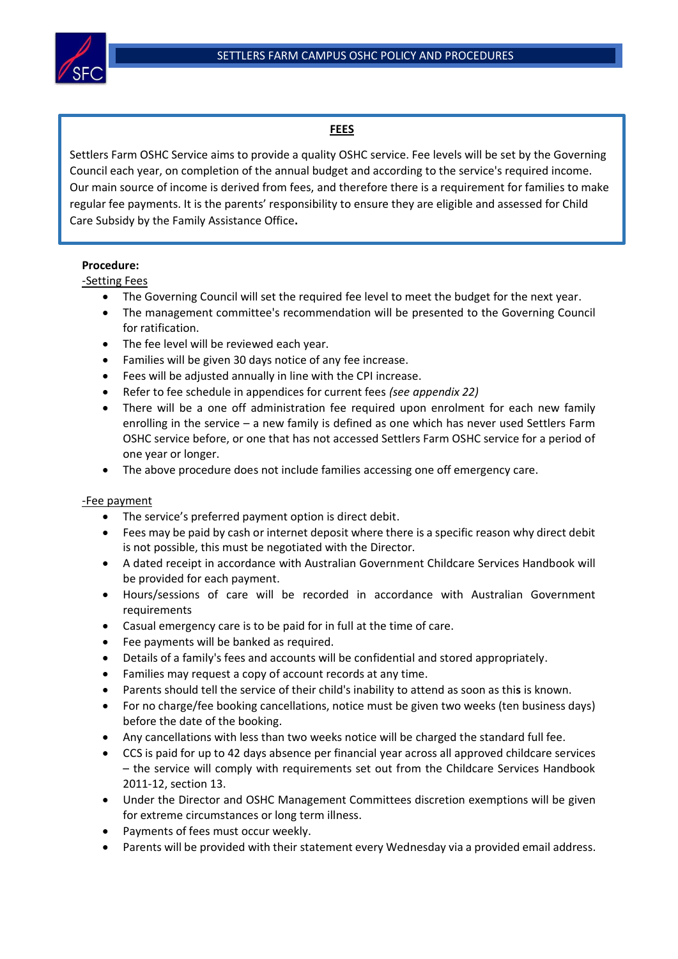

# **FEES**

Settlers Farm OSHC Service aims to provide a quality OSHC service. Fee levels will be set by the Governing Council each year, on completion of the annual budget and according to the service's required income. Our main source of income is derived from fees, and therefore there is a requirement for families to make regular fee payments. It is the parents' responsibility to ensure they are eligible and assessed for Child Care Subsidy by the Family Assistance Office**.**

### **Procedure:**

-Setting Fees

- The Governing Council will set the required fee level to meet the budget for the next year.
- The management committee's recommendation will be presented to the Governing Council for ratification.
- The fee level will be reviewed each year.
- Families will be given 30 days notice of any fee increase.
- Fees will be adjusted annually in line with the CPI increase.
- Refer to fee schedule in appendices for current fees *(see appendix 22)*
- There will be a one off administration fee required upon enrolment for each new family enrolling in the service – a new family is defined as one which has never used Settlers Farm OSHC service before, or one that has not accessed Settlers Farm OSHC service for a period of one year or longer.
- The above procedure does not include families accessing one off emergency care.

### -Fee payment

- The service's preferred payment option is direct debit.
- Fees may be paid by cash or internet deposit where there is a specific reason why direct debit is not possible, this must be negotiated with the Director.
- A dated receipt in accordance with Australian Government Childcare Services Handbook will be provided for each payment.
- Hours/sessions of care will be recorded in accordance with Australian Government requirements
- Casual emergency care is to be paid for in full at the time of care.
- Fee payments will be banked as required.
- Details of a family's fees and accounts will be confidential and stored appropriately.
- Families may request a copy of account records at any time.
- Parents should tell the service of their child's inability to attend as soon as thi**s** is known.
- For no charge/fee booking cancellations, notice must be given two weeks (ten business days) before the date of the booking.
- Any cancellations with less than two weeks notice will be charged the standard full fee.
- CCS is paid for up to 42 days absence per financial year across all approved childcare services – the service will comply with requirements set out from the Childcare Services Handbook 2011-12, section 13.
- Under the Director and OSHC Management Committees discretion exemptions will be given for extreme circumstances or long term illness.
- Payments of fees must occur weekly.
- Parents will be provided with their statement every Wednesday via a provided email address.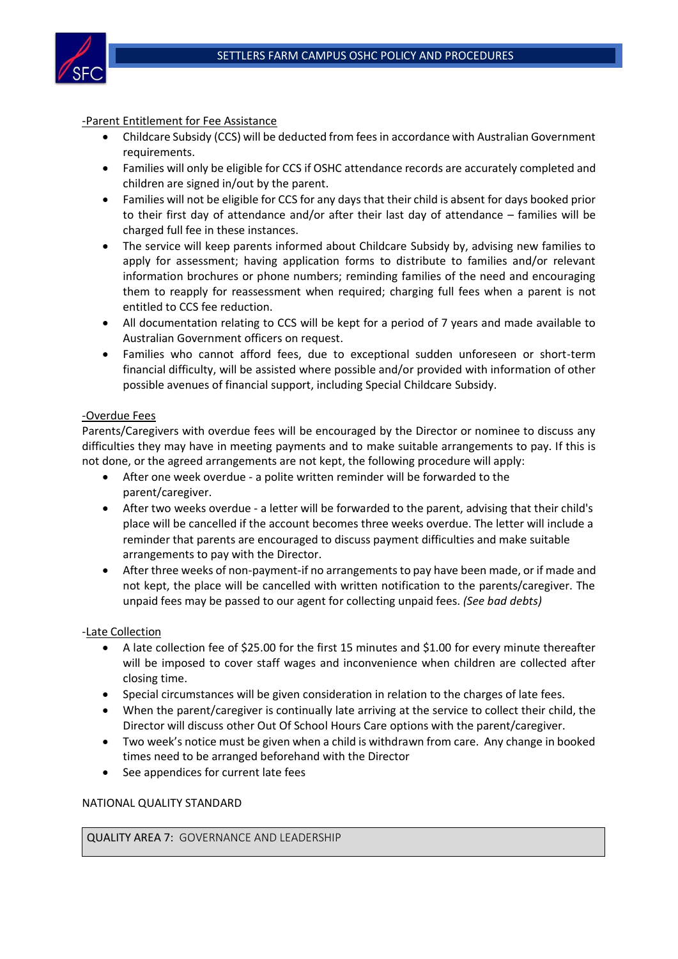

# -Parent Entitlement for Fee Assistance

- Childcare Subsidy (CCS) will be deducted from fees in accordance with Australian Government requirements.
- Families will only be eligible for CCS if OSHC attendance records are accurately completed and children are signed in/out by the parent.
- Families will not be eligible for CCS for any days that their child is absent for days booked prior to their first day of attendance and/or after their last day of attendance – families will be charged full fee in these instances.
- The service will keep parents informed about Childcare Subsidy by, advising new families to apply for assessment; having application forms to distribute to families and/or relevant information brochures or phone numbers; reminding families of the need and encouraging them to reapply for reassessment when required; charging full fees when a parent is not entitled to CCS fee reduction.
- All documentation relating to CCS will be kept for a period of 7 years and made available to Australian Government officers on request.
- Families who cannot afford fees, due to exceptional sudden unforeseen or short-term financial difficulty, will be assisted where possible and/or provided with information of other possible avenues of financial support, including Special Childcare Subsidy.

### -Overdue Fees

Parents/Caregivers with overdue fees will be encouraged by the Director or nominee to discuss any difficulties they may have in meeting payments and to make suitable arrangements to pay. If this is not done, or the agreed arrangements are not kept, the following procedure will apply:

- After one week overdue a polite written reminder will be forwarded to the parent/caregiver.
- After two weeks overdue a letter will be forwarded to the parent, advising that their child's place will be cancelled if the account becomes three weeks overdue. The letter will include a reminder that parents are encouraged to discuss payment difficulties and make suitable arrangements to pay with the Director.
- After three weeks of non-payment-if no arrangements to pay have been made, or if made and not kept, the place will be cancelled with written notification to the parents/caregiver. The unpaid fees may be passed to our agent for collecting unpaid fees. *(See bad debts)*

### -Late Collection

- A late collection fee of \$25.00 for the first 15 minutes and \$1.00 for every minute thereafter will be imposed to cover staff wages and inconvenience when children are collected after closing time.
- Special circumstances will be given consideration in relation to the charges of late fees.
- When the parent/caregiver is continually late arriving at the service to collect their child, the Director will discuss other Out Of School Hours Care options with the parent/caregiver.
- Two week's notice must be given when a child is withdrawn from care. Any change in booked times need to be arranged beforehand with the Director
- See appendices for current late fees

#### NATIONAL QUALITY STANDARD

QUALITY AREA 7: GOVERNANCE AND LEADERSHIP